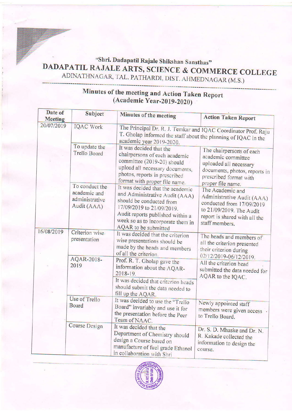## "Shri. Dadapatil Rajale Shikshan Sansthas"<br>DADAPATIL RAJALE ARTS, SCIENCE & COMMERCE COLLEGE<br>ADINATHNAGAR, TAL. PATHARDI, DIST. AHMEDNAGAR (M.S.)

| Date of<br><b>Meeting</b> | Subject                                                | Minutes of the meeting                                                                                                                                                                                                       | <b>Action Taken Report</b>                                                                                                                                 |  |
|---------------------------|--------------------------------------------------------|------------------------------------------------------------------------------------------------------------------------------------------------------------------------------------------------------------------------------|------------------------------------------------------------------------------------------------------------------------------------------------------------|--|
| 20/07/2019                | <b>IQAC Work</b>                                       | The Principal Dr. R. J. Temkar and IQAC Coordinator Prof. Raju<br>T. Gholap informed the staff about the planning of IQAC in the<br>academic year 2019-2020.                                                                 |                                                                                                                                                            |  |
|                           | To update the<br><b>Trello Board</b><br>To conduct the | It was decided that the<br>chairpersons of each academic<br>committee (2019-20) should<br>upload all necessary documents,<br>photos, reports in prescribed<br>format with proper file name.                                  | The chairpersons of each<br>academic committee<br>uploaded all necessary<br>documents, photos, reports in<br>prescribed format with<br>proper file name.   |  |
|                           | academic and<br>administrative<br>Audit (AAA)          | It was decided that the academic<br>and Administrative Audit (AAA)<br>should be conducted from<br>17/09/2019 to 21/09/2019.<br>Audit reports published within a<br>week so as to incorporate them in<br>AQAR to be submitted | The Academic and<br>Administrative Audit (AAA)<br>conducted from 17/09/2019<br>to 21/09/2019. The Audit<br>report is shared with all the<br>staff members. |  |
| 16/08/2019                | Criterion wise<br>presentation                         | It was decided that the criterion<br>wise presentations should be<br>made by the heads and members<br>of all the criterion.                                                                                                  | The heads and members of<br>all the criterion presented<br>their criterion during<br>02/12/2019-06/12/2019.                                                |  |
|                           | AQAR-2018-<br>2019                                     | Prof. R. T. Gholap gave the<br>information about the AQAR-<br>2018-19.<br>It was decided that criterion heads<br>should submit the data needed to<br>fill up the AQAR.                                                       | All the criterion head<br>submitted the data needed for<br>AQAR to the IQAC.                                                                               |  |
|                           | Use of Trello<br><b>Board</b>                          | It was decided to use the "Trello<br>Board" invariably and use it for<br>the presentation before the Peer<br>Team of NAAC.                                                                                                   | Newly appointed staff<br>members were given access.<br>to Trello Board.                                                                                    |  |
|                           | <b>Course Design</b>                                   | It was decided that the<br>Department of Chemistry should<br>design a Course based on<br>manufacture of fuel grade Ethanol<br>in collaboration with Shri                                                                     | Dr. S. D. Mhaske and Dr. N.<br>R. Kakade collected the<br>information to design the<br>course.                                                             |  |

## Minutes of the meeting and Action Taken Report (Academic Year-2019-2020)

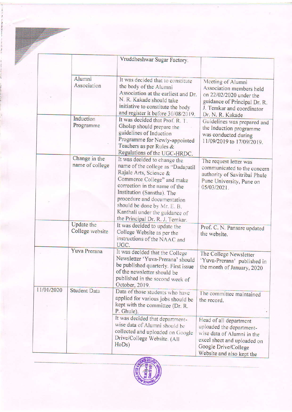|            |                                      | Vruddheshwar Sugar Factory.                                                                                                                                                                                                                                                                                                 |                                                                                                                                                                      |
|------------|--------------------------------------|-----------------------------------------------------------------------------------------------------------------------------------------------------------------------------------------------------------------------------------------------------------------------------------------------------------------------------|----------------------------------------------------------------------------------------------------------------------------------------------------------------------|
|            | Alumni<br>Association                | It was decided that to constitute<br>the body of the Alumni<br>Association at the earliest and Dr.<br>N. R. Kakade should take<br>initiative to constitute the body<br>and register it before 30/08/2019.                                                                                                                   | Meeting of Alumni<br>Association members held<br>on 22/02/2020 under the<br>guidance of Principal Dr. R.<br>J. Temkar and coordinator<br>Dr. N. R. Kakade            |
|            | Induction<br>Programme               | It was decided that Prof. R. T.<br>Gholap should prepare the<br>guidelines of Induction<br>Programme for Newly-appointed<br>Teachers as per Rules &<br>Regulations of the UGC-HRDC.                                                                                                                                         | Guidelines was prepared and<br>the Induction programme<br>was conducted during<br>11/09/2019 to 17/09/2019.                                                          |
|            | Change in the<br>name of college     | It was decided to change the<br>name of the college as "Dadapatil<br>Rajale Arts, Science &<br>Commerce College" and make<br>correction in the name of the<br>Institution (Sanstha). The<br>procedure and documentation<br>should be done by Mr. E. B.<br>Kanthali under the guidance of<br>the Principal Dr. R. J. Temkar. | The request letter was<br>communicated to the concern<br>authority of Savitribai Phule<br>Pune University, Pune on<br>05/03/2021.                                    |
|            | <b>Update</b> the<br>College website | It was decided to update the<br>College Website as per the<br>instructions of the NAAC and<br>UGC.                                                                                                                                                                                                                          | Prof. C. N. Pansare updated<br>the website.                                                                                                                          |
|            | Yuva Prerana                         | It was decided that the College<br>Newsletter 'Yuva-Prerana' should<br>be published quarterly. First issue<br>of the newsletter should be<br>published in the second week of<br>October, 2019.                                                                                                                              | The College Newsletter<br>'Yuva-Prerana' published in<br>the month of January, 2020                                                                                  |
| 11/01/2020 | <b>Student Data</b>                  | Data of those students who have<br>applied for various jobs should be<br>kept with the committee (Dr. R.<br>P. Ghule).                                                                                                                                                                                                      | The committee maintained<br>the record.                                                                                                                              |
|            |                                      | It was decided that department-<br>wise data of Alumni should be<br>collected and uploaded on Google<br>Drive/College Website. (All<br>H <sub>o</sub> D <sub>s</sub>                                                                                                                                                        | Head of all department<br>uploaded the department-<br>wise data of Alumni in the<br>excel sheet and uploaded on<br>Google Drive/College<br>Website and also kept the |